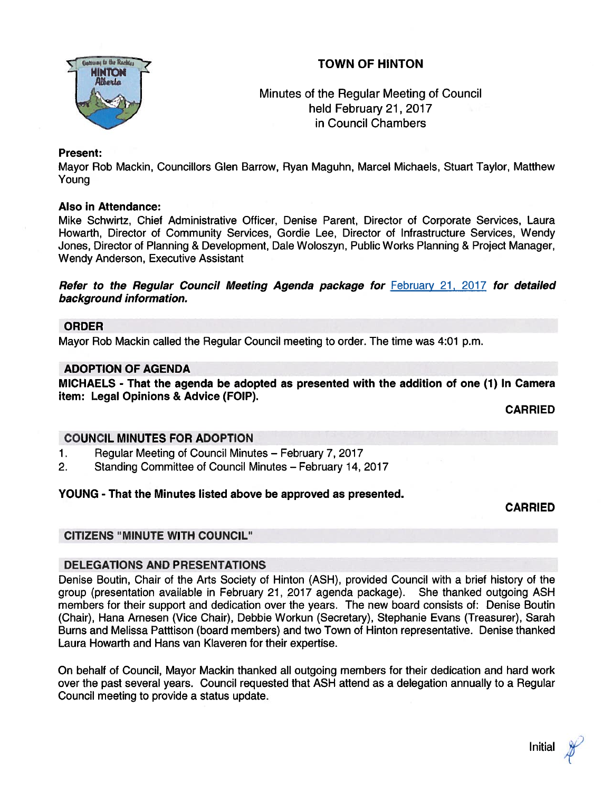# TOWN OF HINTON



# Minutes of the Regular Meeting of Council held February 21, 2017 in Council Chambers

## Present:

Mayor Rob Mackin, Councillors Glen Barrow, Ryan Maguhn, Marcel Michaels, Stuart Taylor, Matthew Young

### Also in Attendance:

Mike Schwirtz, Chief Administrative Officer, Denise Parent, Director of Corporate Services, Laura Howarth, Director of Community Services, Gordie Lee, Director of Infrastructure Services, Wendy Jones, Director of Planning & Development, Dale Woloszyn, Public Works Planning & Project Manager, Wendy Anderson, Executive Assistant

Refer to the Regular Council Meeting Agenda package for February 21, 2017 for detailed background information.

#### ORDER

Mayor Rob Mackin called the Regular Council meeting to order. The time was 4:01 p.m.

### ADOPTION OF AGENDA

MICHAELS - That the agenda be adopted as presented with the addition of one (1) In Camera item: Legal Opinions & Advice (FOIP).

CARRIED

## COUNCIL MINUTES FOR ADOPTION

- 1. Regular Meeting of Council Minutes February 7, 2017
- 2. Standing Committee of Council Minutes February 14, 2017

## YOUNG - That the Minutes listed above be approved as presented.

CARRIED

## CITIZENS "MINUTE WITH COUNCIL"

## DELEGATIONS AND PRESENTATIONS

Denise Boutin, Chair of the Arts Society of Hinton (ASH), provided Council with <sup>a</sup> brief history of the group (presentation available in February 21, 2017 agenda package). She thanked outgoing ASH members for their suppor<sup>t</sup> and dedication over the years. The new board consists of: Denise Boutin (Chair), Hana Arnesen (Vice Chair), Debbie Workun (Secretary), Stephanie Evans (Treasurer), Sarah Burns and Melissa Patttison (board members) and two Town of Hinton representative. Denise thanked Laura Howarth and Hans van Klaveren for their expertise.

On behalf of Council, Mayor Mackin thanked all outgoing members for their dedication and hard work over the pas<sup>t</sup> several years. Council requested that ASH attend as <sup>a</sup> delegation annually to <sup>a</sup> Regular Council meeting to provide <sup>a</sup> status update.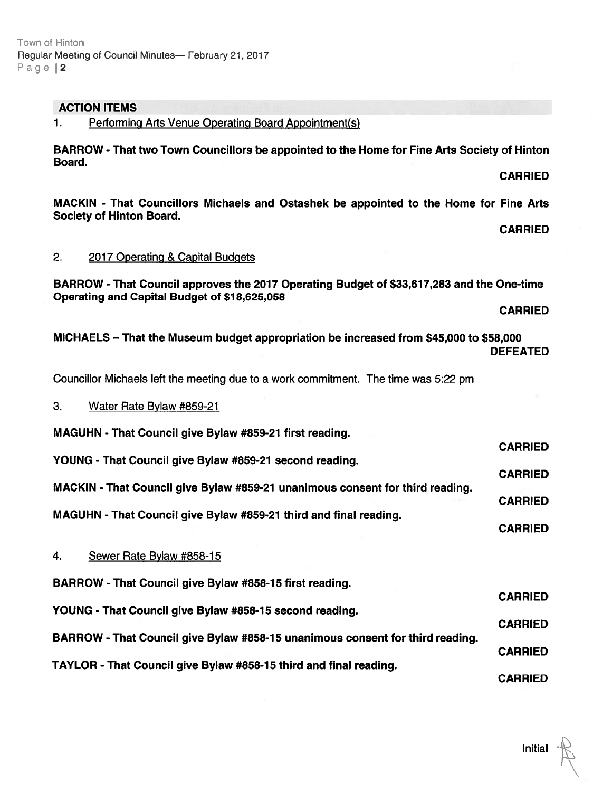#### Town at Hinton Regular Meeting of Council Minutes -- February 21, 2017 Page | 2

# ACTION ITEMS

1. Performing Arts Venue Operating Board Appointment(s)

BARROW -That two Town Councillors be appointed to the Home for Fine Arts Society of Hinton Board.

MACKIN - That Councillors Michaels and Ostashek be appointed to the Home for Fine Arts Society of Hinton Board.

CARRIED

CARRIED

## 2. 2017 Operating & Capital Budgets

BARROW - That Council approves the 2017 Operating Budget of \$33,617,283 and the One-time Operating and Capital Budget of \$18,625,058

CARRIED

CARRIED

MICHAELS — That the Museum budget appropriation be increased from \$45,000 to \$58,000 DEFEATED

Councillor Michaels left the meeting due to <sup>a</sup> work commitment. The time was 5:22 pm

## 3. Water Rate Bylaw #859-21

MAGUHN - That Council give Bylaw #859-21 first reading.

CARRIED YOUNG - That Council give Bylaw #859-21 second reading.

CARRIED MACKIN - That Council give Bylaw #859-27 unanimous consent for third reading. CARRIED

MAGUHN - That Council give Bylaw #859-21 third and final reading.

# 4. Sewer Rate Bylaw #858-15

BARROW - That Council give Bylaw #858-15 first reading.

CARRIED YOUNG - That Council give Bylaw #858-15 second reading. CARRIED BARROW - That Council give Bylaw #858-15 unanimous consent for third reading. CARRIED TAYLOR - That Council give Bylaw #858-15 third and final reading. CARRIED

# **Initial**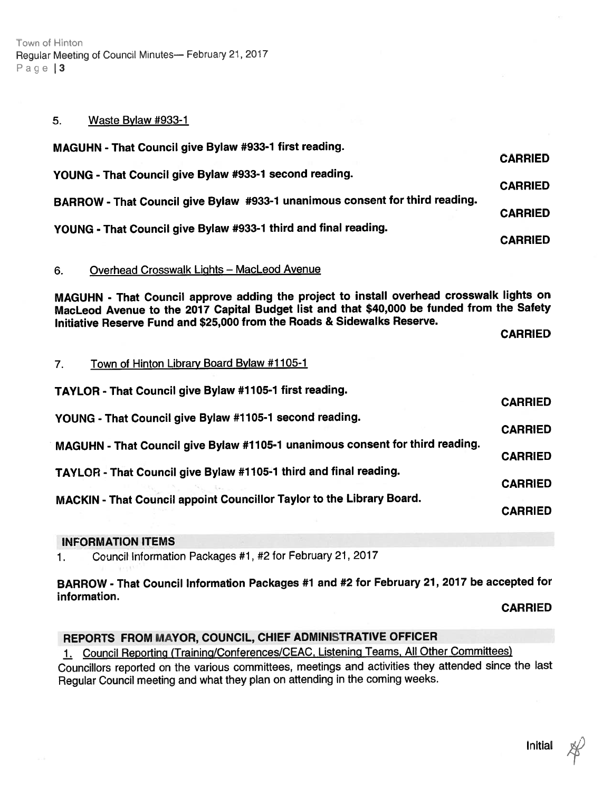Town of Hinton Regular Meeting of Council Minutes- February 21, 2017 Page 13

#### 5. Waste Bylaw #933-1

| MAGUHN - That Council give Bylaw #933-1 first reading.                       |                |
|------------------------------------------------------------------------------|----------------|
|                                                                              | <b>CARRIED</b> |
| YOUNG - That Council give Bylaw #933-1 second reading.                       | <b>CARRIED</b> |
| BARROW - That Council give Bylaw #933-1 unanimous consent for third reading. |                |
|                                                                              | <b>CARRIED</b> |
| YOUNG - That Council give Bylaw #933-1 third and final reading.              |                |
|                                                                              | <b>CARRIED</b> |

### 6. Overhead Crosswalk LiQhts — MacLeod Avenue

MAGUHN - That Council approve adding the project to install overhead crosswalk lights on MacLeod Avenue to the <sup>2017</sup> Capital Budget list and that \$40,000 be funded from the Safety Initiative Reserve Fund and \$25,000 from the Roads & Sidewalks Reserve.

CARRIED

### 7. Town of Hinton Library Board Bylaw #1105-1

| TAYLOR - That Council give Bylaw #1105-1 first reading.                       | <b>CARRIED</b> |
|-------------------------------------------------------------------------------|----------------|
| YOUNG - That Council give Bylaw #1105-1 second reading.                       | <b>CARRIED</b> |
| MAGUHN - That Council give Bylaw #1105-1 unanimous consent for third reading. | <b>CARRIED</b> |
| TAYLOR - That Council give Bylaw #1105-1 third and final reading.             | <b>CARRIED</b> |
| MACKIN - That Council appoint Councillor Taylor to the Library Board.         | <b>CARRIED</b> |
|                                                                               |                |

## INFORMATION ITEMS

1. Council Information Packages #1, #2 for February 21, <sup>2017</sup>

## BARROW - That Council Information Packages #1 and #2 for February 27, <sup>2077</sup> be accepted for information.

CARRIED

## REPORTS FROM MAYOR, COUNCIL, CHIEF ADMINISTRATIVE OFFICER

1. Council Reporting (Training/Conferences/CEAC, Listening Teams, All Other Committees) Councillors reported on the various committees, meetings and activities they attended since the last Regular Council meeting and what they <sup>p</sup>lan on attending in the coming weeks.